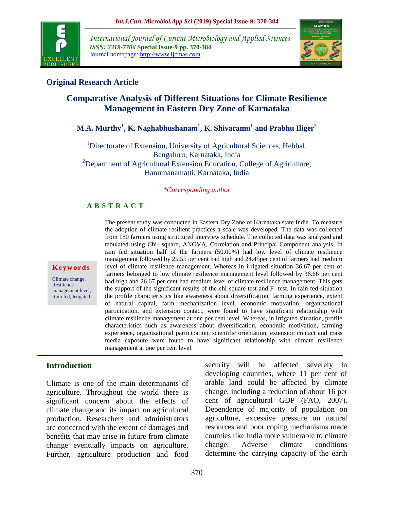

*International Journal of Current Microbiology and Applied Sciences ISSN: 2319-7706* **Special Issue-9 pp. 370-384** Journal homepage: http://www.ijcmas.com



# **Original Research Article**

# **Comparative Analysis of Different Situations for Climate Resilience Management in Eastern Dry Zone of Karnataka**

# **M.A. Murthy<sup>1</sup> , K. Naghabhushanam<sup>1</sup> , K. Shivaramu<sup>1</sup> and Prabhu Iliger<sup>2</sup>**

<sup>1</sup>Directorate of Extension, University of Agricultural Sciences, Hebbal, Bengaluru, Karnataka, India  $2D$  Department of Agricultural Extension Education, College of Agriculture, Hanumanamatti, Karnataka, India

#### *\*Corresponding author*

#### **A B S T R A C T**

**K e y w o r d s**

Climate change, Resilience management level, Rain fed, Irrigated

the adoption of climate resilient practices a scale was developed. The data was collected from 180 farmers using structured interview schedule. The collected data was analyzed and tabulated using Chi- square, ANOVA, Correlation and Principal Component analysis. In rain fed situation half of the farmers (50.00%) had low level of climate resilience management followed by 25.55 per cent had high and 24.45per cent of farmers had medium level of climate resilience management. Whereas in irrigated situation 36.67 per cent of farmers belonged to low climate resilience management level followed by 36.66 per cent had high and 26.67 per cent had medium level of climate resilience management. This gets the support of the significant results of the chi-square test and F- test. In rain fed situation the profile characteristics like awareness about diversification, farming experience, extent of natural capital, farm mechanization level, economic motivation, organizational participation, and extension contact, were found to have significant relationship with climate resilience management at one per cent level. Whereas, in irrigated situation, profile characteristics such as awareness about diversification, economic motivation, farming experience, organizational participation, scientific orientation, extension contact and mass media exposure were found to have significant relationship with climate resilience management at one per cent level.

The present study was conducted in Eastern Dry Zone of Karnataka state India. To measure

### **Introduction**

Climate is one of the main determinants of agriculture. Throughout the world there is significant concern about the effects of climate change and its impact on agricultural production. Researchers and administrators are concerned with the extent of damages and benefits that may arise in future from climate change eventually impacts on agriculture. Further, agriculture production and food security will be affected severely in developing countries, where 11 per cent of arable land could be affected by climate change, including a reduction of about 16 per cent of agricultural GDP (FAO, 2007). Dependence of majority of population on agriculture, excessive pressure on natural resources and poor coping mechanisms made counties like India more vulnerable to climate change. Adverse climate conditions determine the carrying capacity of the earth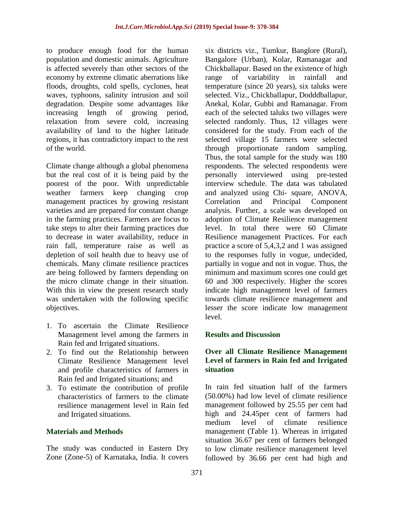to produce enough food for the human population and domestic animals. Agriculture is affected severely than other sectors of the economy by extreme climatic aberrations like floods, droughts, cold spells, cyclones, heat waves, typhoons, salinity intrusion and soil degradation. Despite some advantages like increasing length of growing period, relaxation from severe cold, increasing availability of land to the higher latitude regions, it has contradictory impact to the rest of the world.

Climate change although a global phenomena but the real cost of it is being paid by the poorest of the poor. With unpredictable weather farmers keep changing crop management practices by growing resistant varieties and are prepared for constant change in the farming practices. Farmers are focus to take steps to alter their farming practices due to decrease in water availability, reduce in rain fall, temperature raise as well as depletion of soil health due to heavy use of chemicals. Many climate resilience practices are being followed by farmers depending on the micro climate change in their situation. With this in view the present research study was undertaken with the following specific objectives.

- 1. To ascertain the Climate Resilience Management level among the farmers in Rain fed and Irrigated situations.
- 2. To find out the Relationship between Climate Resilience Management level and profile characteristics of farmers in Rain fed and Irrigated situations; and
- 3. To estimate the contribution of profile characteristics of farmers to the climate resilience management level in Rain fed and Irrigated situations.

### **Materials and Methods**

The study was conducted in Eastern Dry Zone (Zone-5) of Karnataka, India. It covers

six districts viz., Tumkur, Banglore (Rural), Bangalore (Urban), Kolar, Ramanagar and Chickballapur. Based on the existence of high range of variability in rainfall and temperature (since 20 years), six taluks were selected. Viz., Chickballapur, Dodddballapur, Anekal, Kolar, Gubbi and Ramanagar. From each of the selected taluks two villages were selected randomly. Thus, 12 villages were considered for the study. From each of the selected village 15 farmers were selected through proportionate random sampling. Thus, the total sample for the study was 180 respondents. The selected respondents were personally interviewed using pre-tested interview schedule. The data was tabulated and analyzed using Chi- square, ANOVA, Correlation and Principal Component analysis. Further, a scale was developed on adoption of Climate Resilience management level. In total there were 60 Climate Resilience management Practices. For each practice a score of 5,4,3,2 and 1 was assigned to the responses fully in vogue, undecided, partially in vogue and not in vogue. Thus, the minimum and maximum scores one could get 60 and 300 respectively. Higher the scores indicate high management level of farmers towards climate resilience management and lesser the score indicate low management level.

### **Results and Discussion**

## **Over all Climate Resilience Management Level of farmers in Rain fed and Irrigated situation**

In rain fed situation half of the farmers (50.00%) had low level of climate resilience management followed by 25.55 per cent had high and 24.45per cent of farmers had medium level of climate resilience management (Table 1). Whereas in irrigated situation 36.67 per cent of farmers belonged to low climate resilience management level followed by 36.66 per cent had high and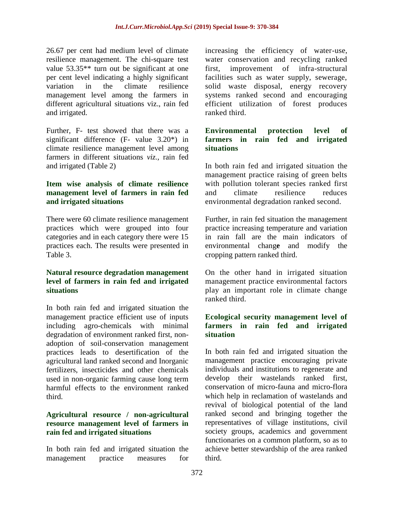26.67 per cent had medium level of climate resilience management. The chi-square test value 53.35\*\* turn out be significant at one per cent level indicating a highly significant variation in the climate resilience management level among the farmers in different agricultural situations viz., rain fed and irrigated.

Further, F- test showed that there was a significant difference (F- value 3.20\*) in climate resilience management level among farmers in different situations *viz.,* rain fed and irrigated (Table 2)

#### **Item wise analysis of climate resilience management level of farmers in rain fed and irrigated situations**

There were 60 climate resilience management practices which were grouped into four categories and in each category there were 15 practices each. The results were presented in Table 3.

#### **Natural resource degradation management level of farmers in rain fed and irrigated situations**

In both rain fed and irrigated situation the management practice efficient use of inputs including agro-chemicals with minimal degradation of environment ranked first, nonadoption of soil-conservation management practices leads to desertification of the agricultural land ranked second and Inorganic fertilizers, insecticides and other chemicals used in non-organic farming cause long term harmful effects to the environment ranked third.

### **Agricultural resource / non-agricultural resource management level of farmers in rain fed and irrigated situations**

In both rain fed and irrigated situation the management practice measures for

increasing the efficiency of water-use, water conservation and recycling ranked first, improvement of infra-structural facilities such as water supply, sewerage, solid waste disposal, energy recovery systems ranked second and encouraging efficient utilization of forest produces ranked third.

#### **Environmental protection level of farmers in rain fed and irrigated situations**

In both rain fed and irrigated situation the management practice raising of green belts with pollution tolerant species ranked first and climate resilience reduces environmental degradation ranked second.

Further, in rain fed situation the management practice increasing temperature and variation in rain fall are the main indicators of environmental chang**e** and modify the cropping pattern ranked third.

On the other hand in irrigated situation management practice environmental factors play an important role in climate change ranked third.

## **Ecological security management level of farmers in rain fed and irrigated situation**

In both rain fed and irrigated situation the management practice encouraging private individuals and institutions to regenerate and develop their wastelands ranked first, conservation of micro-fauna and micro-flora which help in reclamation of wastelands and revival of biological potential of the land ranked second and bringing together the representatives of village institutions, civil society groups, academics and government functionaries on a common platform, so as to achieve better stewardship of the area ranked third.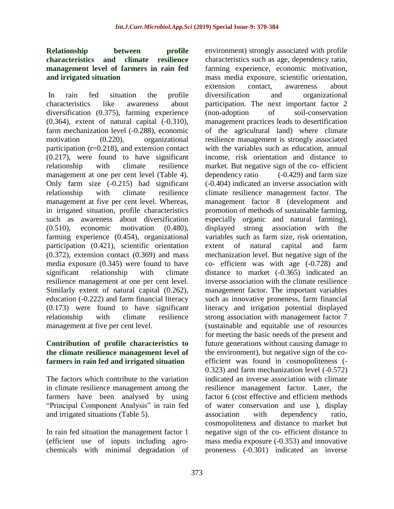#### **Relationship between profile characteristics and climate resilience management level of farmers in rain fed and irrigated situation**

In rain fed situation the profile characteristics like awareness about diversification (0.375), farming experience (0.364), extent of natural capital (-0.310), farm mechanization level (-0.288), economic motivation (0.220), organizational participation (r=0.218), and extension contact (0.217), were found to have significant relationship with climate resilience management at one per cent level (Table 4). Only farm size (-0.215) had significant relationship with climate resilience management at five per cent level. Whereas, in irrigated situation, profile characteristics such as awareness about diversification (0.510), economic motivation (0.480), farming experience (0.454), organizational participation (0.421), scientific orientation  $(0.372)$ , extension contact  $(0.369)$  and mass media exposure (0.345) were found to have significant relationship with climate resilience management at one per cent level. Similarly extent of natural capital (0.262), education (-0.222) and farm financial literacy (0.173) were found to have significant relationship with climate resilience management at five per cent level.

### **Contribution of profile characteristics to the climate resilience management level of farmers in rain fed and irrigated situation**

The factors which contribute to the variation in climate resilience management among the farmers have been analysed by using "Principal Component Analysis" in rain fed and irrigated situations (Table 5).

In rain fed situation the management factor 1 (efficient use of inputs including agrochemicals with minimal degradation of environment) strongly associated with profile characteristics such as age, dependency ratio, farming experience, economic motivation, mass media exposure, scientific orientation, extension contact, awareness about diversification and organizational participation. The next important factor 2 (non-adoption of soil-conservation management practices leads to desertification of the agricultural land) where climate resilience management is strongly associated with the variables such as education, annual income, risk orientation and distance to market. But negative sign of the co- efficient dependency ratio (-0.429) and farm size (-0.404) indicated an inverse association with climate resilience management factor. The management factor 8 (development and promotion of methods of sustainable farming, especially organic and natural farming), displayed strong association with the variables such as farm size, risk orientation, extent of natural capital and farm mechanization level. But negative sign of the co- efficient was with age (-0.728) and distance to market (-0.365) indicated an inverse association with the climate resilience management factor. The important variables such as innovative proneness, farm financial literacy and irrigation potential displayed strong association with management factor 7 (sustainable and equitable use of resources for meeting the basic needs of the present and future generations without causing damage to the environment), but negative sign of the coefficient was found in cosmopoliteness (- 0.323) and farm mechanization level (-0.572) indicated an inverse association with climate resilience management factor. Later, the factor 6 (cost effective and efficient methods of water conservation and use ), display association with dependency ratio, cosmopoliteness and distance to market but negative sign of the co- efficient distance to mass media exposure (-0.353) and innovative proneness (-0.301) indicated an inverse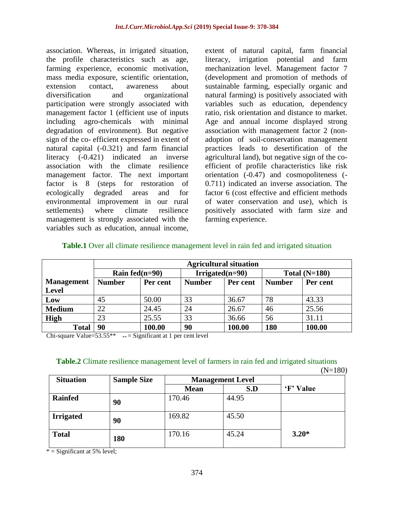association. Whereas, in irrigated situation, the profile characteristics such as age, farming experience, economic motivation, mass media exposure, scientific orientation, extension contact, awareness about diversification and organizational participation were strongly associated with management factor 1 (efficient use of inputs including agro-chemicals with minimal degradation of environment). But negative sign of the co- efficient expressed in extent of natural capital (-0.321) and farm financial literacy (-0.421) indicated an inverse association with the climate resilience management factor. The next important factor is 8 (steps for restoration of ecologically degraded areas and for environmental improvement in our rural settlements) where climate resilience management is strongly associated with the variables such as education, annual income,

extent of natural capital, farm financial literacy, irrigation potential and farm mechanization level. Management factor 7 (development and promotion of methods of sustainable farming, especially organic and natural farming) is positively associated with variables such as education, dependency ratio, risk orientation and distance to market. Age and annual income displayed strong association with management factor 2 (nonadoption of soil-conservation management practices leads to desertification of the agricultural land), but negative sign of the coefficient of profile characteristics like risk orientation (-0.47) and cosmopoliteness (- 0.711) indicated an inverse association. The factor 6 (cost effective and efficient methods of water conservation and use), which is positively associated with farm size and farming experience.

|                   |                   | <b>Agricultural situation</b> |                    |          |               |                 |  |  |  |  |  |  |
|-------------------|-------------------|-------------------------------|--------------------|----------|---------------|-----------------|--|--|--|--|--|--|
|                   | Rain fed $(n=90)$ |                               | Irrigated $(n=90)$ |          |               | Total $(N=180)$ |  |  |  |  |  |  |
| <b>Management</b> | <b>Number</b>     | Per cent                      | <b>Number</b>      | Per cent | <b>Number</b> | Per cent        |  |  |  |  |  |  |
| <b>Level</b>      |                   |                               |                    |          |               |                 |  |  |  |  |  |  |
| Low               | 45                | 50.00                         | 33                 | 36.67    | 78            | 43.33           |  |  |  |  |  |  |
| <b>Medium</b>     | 22                | 24.45                         | 24                 | 26.67    | 46            | 25.56           |  |  |  |  |  |  |
| <b>High</b>       | 23                | 25.55                         | 33                 | 36.66    | 56            | 31.11           |  |  |  |  |  |  |
| <b>Total</b>      | 90                | 100.00                        | 90                 | 100.00   | 180           | 100.00          |  |  |  |  |  |  |

#### **Table.1** Over all climate resilience management level in rain fed and irrigated situation

Chi-square Value= $53.55**$   $**$  = Significant at 1 per cent level

### **Table.2** Climate resilience management level of farmers in rain fed and irrigated situations

 $(N=180)$ 

| <b>Situation</b> | <b>Sample Size</b> | <b>Management Level</b> |       |           |
|------------------|--------------------|-------------------------|-------|-----------|
|                  |                    | <b>Mean</b>             | S.D   | 'F' Value |
| <b>Rainfed</b>   | 90                 | 170.46                  | 44.95 |           |
| <b>Irrigated</b> | 90                 | 169.82                  | 45.50 |           |
| <b>Total</b>     | 180                | 170.16                  | 45.24 | $3.20*$   |

 $*$  = Significant at 5% level;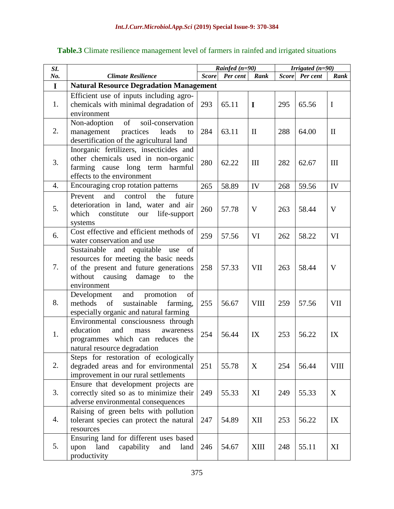| SI.         |                                                                                                                                                                                   | Rainfed $(n=90)$ |          |              |              | Irrigated $(n=90)$ |              |
|-------------|-----------------------------------------------------------------------------------------------------------------------------------------------------------------------------------|------------------|----------|--------------|--------------|--------------------|--------------|
| No.         | <b>Climate Resilience</b>                                                                                                                                                         | <b>Score</b>     | Per cent | Rank         | <b>Score</b> | Per cent           | Rank         |
| $\mathbf I$ | <b>Natural Resource Degradation Management</b>                                                                                                                                    |                  |          |              |              |                    |              |
| 1.          | Efficient use of inputs including agro-<br>chemicals with minimal degradation of<br>environment                                                                                   | 293              | 65.11    | I            | 295          | 65.56              | $\mathbf I$  |
| 2.          | of<br>soil-conservation<br>Non-adoption<br>practices<br>leads<br>management<br>to<br>desertification of the agricultural land                                                     | 284              | 63.11    | $\mathbf{I}$ | 288          | 64.00              | $\mathbf{I}$ |
| 3.          | Inorganic fertilizers, insecticides and<br>other chemicals used in non-organic<br>farming cause long term harmful<br>effects to the environment                                   | 280              | 62.22    | III          | 282          | 62.67              | III          |
| 4.          | Encouraging crop rotation patterns                                                                                                                                                | 265              | 58.89    | IV           | 268          | 59.56              | IV           |
| 5.          | control<br>Prevent<br>and<br>the<br>future<br>deterioration in land, water and air<br>which<br>constitute<br>life-support<br>our<br>systems                                       | 260              | 57.78    | V            | 263          | 58.44              | V            |
| 6.          | Cost effective and efficient methods of<br>water conservation and use                                                                                                             | 259              | 57.56    | VI           | 262          | 58.22              | VI           |
| 7.          | Sustainable and equitable use<br>of<br>resources for meeting the basic needs<br>of the present and future generations<br>without<br>causing<br>damage<br>to<br>the<br>environment | 258              | 57.33    | <b>VII</b>   | 263          | 58.44              | V            |
| 8.          | and promotion<br>Development<br>of<br>of<br>sustainable<br>methods<br>farming,<br>especially organic and natural farming                                                          | 255              | 56.67    | <b>VIII</b>  | 259          | 57.56              | <b>VII</b>   |
| 1.          | Environmental consciousness through<br>education<br>and<br>awareness<br>mass<br>programmes which can reduces the<br>natural resource degradation                                  | 254              | 56.44    | IX           | 253          | 56.22              | IX           |
| 2.          | Steps for restoration of ecologically<br>degraded areas and for environmental<br>improvement in our rural settlements                                                             | 251              | 55.78    | X            | 254          | 56.44              | <b>VIII</b>  |
| 3.          | Ensure that development projects are<br>correctly sited so as to minimize their<br>adverse environmental consequences                                                             | 249              | 55.33    | XI           | 249          | 55.33              | X            |
| 4.          | Raising of green belts with pollution<br>tolerant species can protect the natural<br>resources                                                                                    | 247              | 54.89    | XII          | 253          | 56.22              | IX           |
| 5.          | Ensuring land for different uses based<br>land<br>upon<br>capability<br>and<br>land<br>productivity                                                                               | 246              | 54.67    | XIII         | 248          | 55.11              | XI           |

# **Table.3** Climate resilience management level of farmers in rainfed and irrigated situations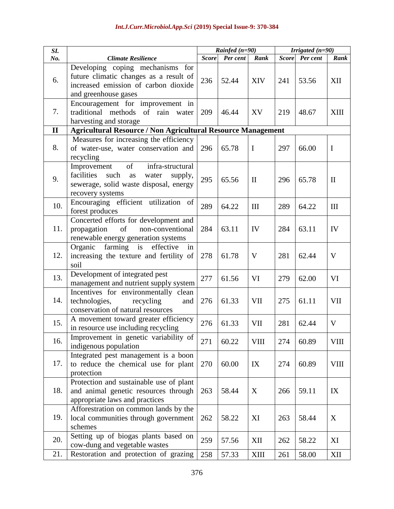| SI.          |                                                                                                                                                     | Rainfed $(n=90)$ |          | Irrigated $(n=90)$ |              |          |              |
|--------------|-----------------------------------------------------------------------------------------------------------------------------------------------------|------------------|----------|--------------------|--------------|----------|--------------|
| No.          | <b>Climate Resilience</b>                                                                                                                           | <b>Score</b>     | Per cent | Rank               | <b>Score</b> | Per cent | Rank         |
| 6.           | Developing coping mechanisms for<br>future climatic changes as a result of<br>increased emission of carbon dioxide<br>and greenhouse gases          | 236              | 52.44    | <b>XIV</b>         | 241          | 53.56    | XII          |
| 7.           | Encouragement for improvement in<br>traditional methods of rain<br>water<br>harvesting and storage                                                  | 209              | 46.44    | XV                 | 219          | 48.67    | <b>XIII</b>  |
| $\mathbf{I}$ | <b>Agricultural Resource / Non Agricultural Resource Management</b>                                                                                 |                  |          |                    |              |          |              |
| 8.           | Measures for increasing the efficiency<br>of water-use, water conservation and<br>recycling                                                         | 296              | 65.78    | $\bf{I}$           | 297          | 66.00    | $\mathbf I$  |
| 9.           | of<br>Improvement<br>infra-structural<br>facilities<br>such<br>water<br>supply,<br>as<br>sewerage, solid waste disposal, energy<br>recovery systems | 295              | 65.56    | $\mathbf{I}$       | 296          | 65.78    | $\mathbf{I}$ |
| 10.          | Encouraging efficient utilization<br>of<br>forest produces                                                                                          | 289              | 64.22    | III                | 289          | 64.22    | III          |
| 11.          | Concerted efforts for development and<br>of<br>propagation<br>non-conventional<br>renewable energy generation systems                               | 284              | 63.11    | IV                 | 284          | 63.11    | IV           |
| 12.          | farming<br>is effective<br>Organic<br>in<br>increasing the texture and fertility of<br>soil                                                         | 278              | 61.78    | V                  | 281          | 62.44    | $\mathbf V$  |
| 13.          | Development of integrated pest<br>management and nutrient supply system                                                                             | 277              | 61.56    | VI                 | 279          | 62.00    | VI           |
| 14.          | Incentives for environmentally clean<br>technologies,<br>recycling<br>and<br>conservation of natural resources                                      | 276              | 61.33    | <b>VII</b>         | 275          | 61.11    | <b>VII</b>   |
| 15.          | A movement toward greater efficiency<br>in resource use including recycling                                                                         | 276              | 61.33    | VII                | 281          | 62.44    | V            |
| 16.          | Improvement in genetic variability of<br>indigenous population                                                                                      | 271              | 60.22    | <b>VIII</b>        | 274          | 60.89    | <b>VIII</b>  |
| 17.          | Integrated pest management is a boon<br>to reduce the chemical use for plant<br>protection                                                          | 270              | 60.00    | IX                 | 274          | 60.89    | <b>VIII</b>  |
| 18.          | Protection and sustainable use of plant<br>and animal genetic resources through<br>appropriate laws and practices                                   | 263              | 58.44    | X                  | 266          | 59.11    | IX           |
| 19.          | Afforestration on common lands by the<br>local communities through government<br>schemes                                                            | 262              | 58.22    | XI                 | 263          | 58.44    | X            |
| 20.          | Setting up of biogas plants based on<br>cow-dung and vegetable wastes                                                                               | 259              | 57.56    | XII                | 262          | 58.22    | XI           |
| 21.          | Restoration and protection of grazing                                                                                                               | 258              | 57.33    | <b>XIII</b>        | 261          | 58.00    | XII          |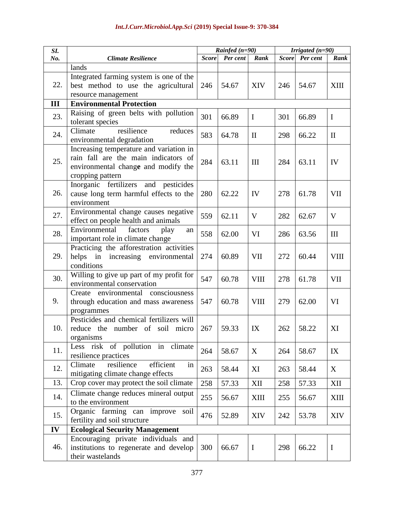| SI. |                                                                               | Rainfed $(n=90)$ |          |              |              | Irrigated $(n=90)$ |              |
|-----|-------------------------------------------------------------------------------|------------------|----------|--------------|--------------|--------------------|--------------|
| No. | <b>Climate Resilience</b>                                                     | <b>Score</b>     | Per cent | Rank         | <b>Score</b> | Per cent           | Rank         |
|     | lands                                                                         |                  |          |              |              |                    |              |
|     | Integrated farming system is one of the                                       |                  |          |              |              |                    |              |
| 22. | best method to use the agricultural                                           | 246              | 54.67    | <b>XIV</b>   | 246          | 54.67              | <b>XIII</b>  |
|     | resource management                                                           |                  |          |              |              |                    |              |
| Ш   | <b>Environmental Protection</b>                                               |                  |          |              |              |                    |              |
| 23. | Raising of green belts with pollution                                         | 301              | 66.89    | $\mathbf I$  | 301          | 66.89              | $\mathbf I$  |
|     | tolerant species                                                              |                  |          |              |              |                    |              |
| 24. | resilience<br>Climate<br>reduces                                              | 583              | 64.78    | $\mathbf{I}$ | 298          | 66.22              | $\mathbf{I}$ |
|     | environmental degradation                                                     |                  |          |              |              |                    |              |
|     | Increasing temperature and variation in                                       |                  |          |              |              |                    |              |
| 25. | rain fall are the main indicators of                                          | 284              | 63.11    | III          | 284          | 63.11              | IV           |
|     | environmental change and modify the                                           |                  |          |              |              |                    |              |
|     | cropping pattern                                                              |                  |          |              |              |                    |              |
|     | Inorganic fertilizers and pesticides                                          |                  |          |              |              |                    |              |
| 26. | cause long term harmful effects to the                                        | 280              | 62.22    | IV           | 278          | 61.78              | <b>VII</b>   |
|     | environment                                                                   |                  |          |              |              |                    |              |
| 27. | Environmental change causes negative                                          | 559              | 62.11    | V            | 282          | 62.67              | V            |
|     | effect on people health and animals                                           |                  |          |              |              |                    |              |
| 28. | Environmental<br>factors<br>play<br>an                                        | 558              | 62.00    | VI           | 286          | 63.56              | III          |
|     | important role in climate change                                              |                  |          |              |              |                    |              |
|     | Practicing the afforestration activities                                      |                  |          |              |              |                    |              |
| 29. | helps in<br>increasing environmental                                          | 274              | 60.89    | VII          | 272          | 60.44              | <b>VIII</b>  |
|     | conditions                                                                    |                  |          |              |              |                    |              |
| 30. | Willing to give up part of my profit for                                      | 547              | 60.78    | <b>VIII</b>  | 278          | 61.78              | VII          |
|     | environmental conservation                                                    |                  |          |              |              |                    |              |
|     | environmental consciousness<br>Create                                         |                  |          |              |              |                    |              |
| 9.  | through education and mass awareness                                          | 547              | 60.78    | <b>VIII</b>  | 279          | 62.00              | VI           |
|     | programmes<br>Pesticides and chemical fertilizers will                        |                  |          |              |              |                    |              |
| 10. |                                                                               | 267              | 59.33    | IX           | 262          | 58.22              | XI           |
|     | reduce the number of soil micro                                               |                  |          |              |              |                    |              |
|     | organisms<br>Less risk of pollution in climate                                |                  |          |              |              |                    |              |
| 11. | resilience practices                                                          | 264              | 58.67    | X            | 264          | 58.67              | IX           |
|     | efficient<br>resilience<br>Climate<br>in                                      |                  |          |              |              |                    |              |
| 12. | mitigating climate change effects                                             | 263              | 58.44    | XI           | 263          | 58.44              | X            |
| 13. | Crop cover may protect the soil climate                                       | 258              | 57.33    | XII          | 258          | 57.33              | XII          |
|     |                                                                               |                  |          |              |              |                    |              |
| 14. | Climate change reduces mineral output                                         | 255              | 56.67    | <b>XIII</b>  | 255          | 56.67              | XIII         |
|     | to the environment                                                            |                  |          |              |              |                    |              |
| 15. | Organic farming can improve<br>soil                                           | 476              | 52.89    | XIV          | 242          | 53.78              | <b>XIV</b>   |
| IV  | fertility and soil structure                                                  |                  |          |              |              |                    |              |
|     | <b>Ecological Security Management</b>                                         |                  |          |              |              |                    |              |
| 46. | Encouraging private individuals and<br>institutions to regenerate and develop | 300              | 66.67    | $\bf{I}$     | 298          | 66.22              | $\mathbf I$  |
|     | their wastelands                                                              |                  |          |              |              |                    |              |
|     |                                                                               |                  |          |              |              |                    |              |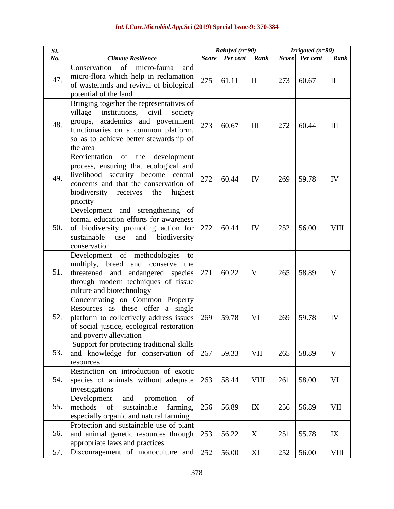| SI. |                                                                                                                                                                                                                             | Rainfed $(n=90)$<br>Irrigated $(n=90)$ |          |              |              |          |              |
|-----|-----------------------------------------------------------------------------------------------------------------------------------------------------------------------------------------------------------------------------|----------------------------------------|----------|--------------|--------------|----------|--------------|
| No. | <b>Climate Resilience</b>                                                                                                                                                                                                   | <b>Score</b>                           | Per cent | Rank         | <b>Score</b> | Per cent | Rank         |
| 47. | Conservation<br>of<br>micro-fauna<br>and<br>micro-flora which help in reclamation<br>of wastelands and revival of biological<br>potential of the land                                                                       | 275                                    | 61.11    | $\mathbf{I}$ | 273          | 60.67    | $\mathbf{I}$ |
| 48. | Bringing together the representatives of<br>institutions, civil<br>village<br>society<br>academics and government<br>groups,<br>functionaries on a common platform,<br>so as to achieve better stewardship of<br>the area   | 273                                    | 60.67    | III          | 272          | 60.44    | Ш            |
| 49. | Reorientation<br>of<br>the<br>development<br>process, ensuring that ecological and<br>livelihood security become central<br>concerns and that the conservation of<br>biodiversity<br>receives<br>highest<br>the<br>priority | 272                                    | 60.44    | IV           | 269          | 59.78    | IV           |
| 50. | Development and strengthening of<br>formal education efforts for awareness<br>of biodiversity promoting action for<br>sustainable<br>and<br>biodiversity<br>use<br>conservation                                             | 272                                    | 60.44    | IV           | 252          | 56.00    | <b>VIII</b>  |
| 51. | Development of methodologies<br>to<br>multiply, breed and conserve<br>the<br>threatened and endangered species<br>through modern techniques of tissue<br>culture and biotechnology                                          | 271                                    | 60.22    | V            | 265          | 58.89    | V            |
| 52. | Concentrating on Common Property<br>Resources as these offer a single<br>platform to collectively address issues<br>of social justice, ecological restoration<br>and poverty alleviation                                    | 269                                    | 59.78    | VI           | 269          | 59.78    | IV           |
| 53. | Support for protecting traditional skills<br>and knowledge for conservation of<br>resources                                                                                                                                 | 267                                    | 59.33    | <b>VII</b>   | 265          | 58.89    | V            |
| 54. | Restriction on introduction of exotic<br>species of animals without adequate<br>investigations                                                                                                                              | 263                                    | 58.44    | <b>VIII</b>  | 261          | 58.00    | VI           |
| 55. | Development<br>and<br>promotion<br>of<br>methods<br>of<br>sustainable<br>farming,<br>especially organic and natural farming                                                                                                 | 256                                    | 56.89    | IX           | 256          | 56.89    | VII          |
| 56. | Protection and sustainable use of plant<br>and animal genetic resources through<br>appropriate laws and practices                                                                                                           | 253                                    | 56.22    | X            | 251          | 55.78    | IX           |
| 57. | Discouragement of monoculture and                                                                                                                                                                                           | 252                                    | 56.00    | XI           | 252          | 56.00    | <b>VIII</b>  |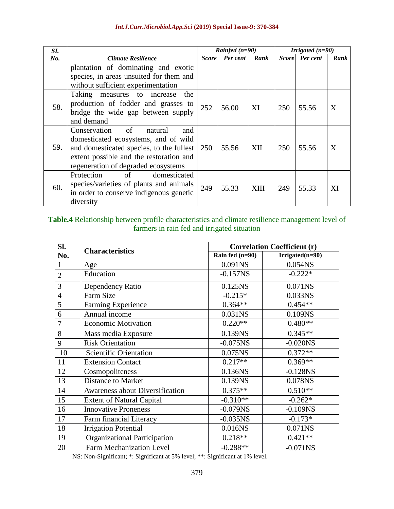| SI. |                                                                                                                                                                                                            |              | Rainfed $(n=90)$ |      | Irrigated $(n=90)$ |          |      |
|-----|------------------------------------------------------------------------------------------------------------------------------------------------------------------------------------------------------------|--------------|------------------|------|--------------------|----------|------|
| No. | Climate Resilience                                                                                                                                                                                         | <b>Score</b> | Per cent         | Rank | <b>Score</b>       | Per cent | Rank |
|     | plantation of dominating and exotic<br>species, in areas unsuited for them and<br>without sufficient experimentation                                                                                       |              |                  |      |                    |          |      |
| 58. | Taking measures to increase<br>the<br>production of fodder and grasses to<br>bridge the wide gap between supply<br>and demand                                                                              | 252          | 56.00            | XI   | 250                | 55.56    | X    |
| 59. | of<br>Conservation<br>natural<br>and<br>domesticated ecosystems, and of wild<br>and domesticated species, to the fullest<br>extent possible and the restoration and<br>regeneration of degraded ecosystems | <b>250</b>   | 55.56            | XII  | 250                | 55.56    | X    |
| 60. | Protection<br>domesticated<br>of<br>species/varieties of plants and animals<br>in order to conserve indigenous genetic<br>diversity                                                                        | 249          | 55.33            | XIII | 249                | 55.33    | XI   |

### **Table.4** Relationship between profile characteristics and climate resilience management level of farmers in rain fed and irrigated situation

| SI.            | <b>Characteristics</b>              | <b>Correlation Coefficient (r)</b> |                   |  |  |  |  |
|----------------|-------------------------------------|------------------------------------|-------------------|--|--|--|--|
| No.            |                                     | Rain fed (n=90)                    | $Irrigated(n=90)$ |  |  |  |  |
| $\mathbf{1}$   | Age                                 | 0.091NS                            | 0.054NS           |  |  |  |  |
| $\overline{2}$ | Education                           | $-0.157NS$                         | $-0.222*$         |  |  |  |  |
| 3              | Dependency Ratio                    | 0.125NS                            | 0.071NS           |  |  |  |  |
| $\overline{4}$ | Farm Size                           | $-0.215*$                          | 0.033NS           |  |  |  |  |
| 5              | Farming Experience                  | $0.364**$                          | $0.454**$         |  |  |  |  |
| 6              | Annual income                       | 0.031NS                            | 0.109NS           |  |  |  |  |
| 7              | <b>Economic Motivation</b>          | $0.220**$                          | $0.480**$         |  |  |  |  |
| 8              | Mass media Exposure                 | 0.139NS                            | $0.345**$         |  |  |  |  |
| 9              | <b>Risk Orientation</b>             | $-0.075$ NS                        | $-0.020$ NS       |  |  |  |  |
| 10             | Scientific Orientation              | 0.075NS                            | $0.372**$         |  |  |  |  |
| 11             | <b>Extension Contact</b>            | $0.217**$                          | $0.369**$         |  |  |  |  |
| 12             | Cosmopoliteness                     | 0.136NS                            | $-0.128$ NS       |  |  |  |  |
| 13             | Distance to Market                  | 0.139NS                            | 0.078NS           |  |  |  |  |
| 14             | Awareness about Diversification     | $0.375**$                          | $0.510**$         |  |  |  |  |
| 15             | <b>Extent of Natural Capital</b>    | $-0.310**$                         | $-0.262*$         |  |  |  |  |
| 16             | <b>Innovative Proneness</b>         | $-0.079NS$                         | $-0.109NS$        |  |  |  |  |
| 17             | Farm financial Literacy             | $-0.035$ NS                        | $-0.173*$         |  |  |  |  |
| 18             | <b>Irrigation Potential</b>         | 0.016NS                            | 0.071NS           |  |  |  |  |
| 19             | <b>Organizational Participation</b> | $0.218**$                          | $0.421**$         |  |  |  |  |
| 20             | <b>Farm Mechanization Level</b>     | $-0.288**$                         | $-0.071$ NS       |  |  |  |  |

NS: Non-Significant; \*: Significant at 5% level; \*\*: Significant at 1% level.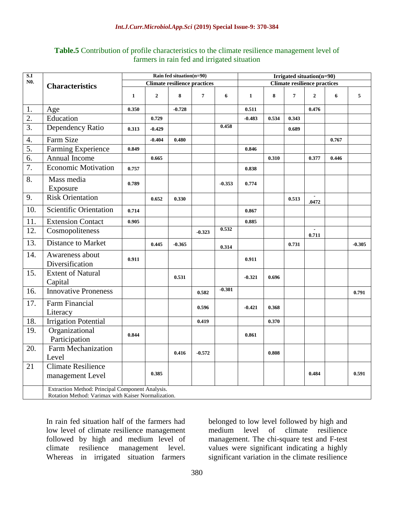| <b>Table.5</b> Contribution of profile characteristics to the climate resilience management level of |
|------------------------------------------------------------------------------------------------------|
| farmers in rain fed and irrigated situation                                                          |

| S.I              |                                                                                                         | Rain fed situation(n=90)<br><b>Climate resilience practices</b> |                |          |                | Irrigated situation(n=90) |                                     |       |                |                         |       |          |
|------------------|---------------------------------------------------------------------------------------------------------|-----------------------------------------------------------------|----------------|----------|----------------|---------------------------|-------------------------------------|-------|----------------|-------------------------|-------|----------|
| N <sub>0</sub> . | <b>Characteristics</b>                                                                                  |                                                                 |                |          |                |                           | <b>Climate resilience practices</b> |       |                |                         |       |          |
|                  |                                                                                                         | $\mathbf{1}$                                                    | $\overline{2}$ | 8        | $\overline{7}$ | 6                         | $\mathbf{1}$                        | 8     | $\overline{7}$ | $\overline{2}$          | 6     | 5        |
| 1.               | Age                                                                                                     | 0.350                                                           |                | $-0.728$ |                |                           | 0.511                               |       |                | 0.476                   |       |          |
| $\overline{2}$ . | Education                                                                                               |                                                                 | 0.729          |          |                |                           | $-0.483$                            | 0.534 | 0.343          |                         |       |          |
| 3.               | Dependency Ratio                                                                                        | 0.313                                                           | $-0.429$       |          |                | 0.458                     |                                     |       | 0.689          |                         |       |          |
| 4.               | Farm Size                                                                                               |                                                                 | $-0.404$       | 0.480    |                |                           |                                     |       |                |                         | 0.767 |          |
| 5.               | Farming Experience                                                                                      | 0.849                                                           |                |          |                |                           | 0.846                               |       |                |                         |       |          |
| 6.               | Annual Income                                                                                           |                                                                 | 0.665          |          |                |                           |                                     | 0.310 |                | 0.377                   | 0.446 |          |
| 7.               | <b>Economic Motivation</b>                                                                              | 0.757                                                           |                |          |                |                           | 0.838                               |       |                |                         |       |          |
| 8.               | Mass media<br>Exposure                                                                                  | 0.789                                                           |                |          |                | $-0.353$                  | 0.774                               |       |                |                         |       |          |
| 9.               | <b>Risk Orientation</b>                                                                                 |                                                                 | 0.652          | 0.330    |                |                           |                                     |       | 0.513          | .0472                   |       |          |
| 10.              | Scientific Orientation                                                                                  | 0.714                                                           |                |          |                |                           | 0.867                               |       |                |                         |       |          |
| 11.              | <b>Extension Contact</b>                                                                                | 0.905                                                           |                |          |                |                           | 0.885                               |       |                |                         |       |          |
| 12.              | Cosmopoliteness                                                                                         |                                                                 |                |          | $-0.323$       | 0.532                     |                                     |       |                | $\blacksquare$<br>0.711 |       |          |
| 13.              | <b>Distance to Market</b>                                                                               |                                                                 | 0.445          | $-0.365$ |                | 0.314                     |                                     |       | 0.731          |                         |       | $-0.305$ |
| 14.              | Awareness about<br>Diversification                                                                      | 0.911                                                           |                |          |                |                           | 0.911                               |       |                |                         |       |          |
| 15.              | <b>Extent of Natural</b><br>Capital                                                                     |                                                                 |                | 0.531    |                |                           | $-0.321$                            | 0.696 |                |                         |       |          |
| 16.              | <b>Innovative Proneness</b>                                                                             |                                                                 |                |          | 0.582          | $-0.301$                  |                                     |       |                |                         |       | 0.791    |
| 17.              | Farm Financial<br>Literacy                                                                              |                                                                 |                |          | 0.596          |                           | $-0.421$                            | 0.368 |                |                         |       |          |
| 18.              | <b>Irrigation Potential</b>                                                                             |                                                                 |                |          | 0.419          |                           |                                     | 0.370 |                |                         |       |          |
| 19.              | Organizational<br>Participation                                                                         | 0.844                                                           |                |          |                |                           | 0.861                               |       |                |                         |       |          |
| 20.              | <b>Farm Mechanization</b><br>Level                                                                      |                                                                 |                | 0.416    | $-0.572$       |                           |                                     | 0.808 |                |                         |       |          |
| 21               | <b>Climate Resilience</b><br>management Level                                                           |                                                                 | 0.385          |          |                |                           |                                     |       |                | 0.484                   |       | 0.591    |
|                  | Extraction Method: Principal Component Analysis.<br>Rotation Method: Varimax with Kaiser Normalization. |                                                                 |                |          |                |                           |                                     |       |                |                         |       |          |

In rain fed situation half of the farmers had low level of climate resilience management followed by high and medium level of climate resilience management level. climate resilience management level. Whereas in irrigated situation farmers

belonged to low level followed by high and medium level of climate resilience management. The chi-square test and F-test values were significant indicating a highly significant variation in the climate resilience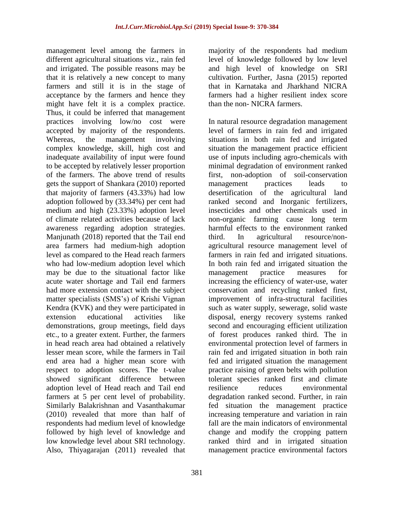management level among the farmers in different agricultural situations viz., rain fed and irrigated. The possible reasons may be that it is relatively a new concept to many farmers and still it is in the stage of acceptance by the farmers and hence they might have felt it is a complex practice. Thus, it could be inferred that management practices involving low/no cost were accepted by majority of the respondents. Whereas, the management involving complex knowledge, skill, high cost and inadequate availability of input were found to be accepted by relatively lesser proportion of the farmers. The above trend of results gets the support of Shankara (2010) reported that majority of farmers (43.33%) had low adoption followed by (33.34%) per cent had medium and high (23.33%) adoption level of climate related activities because of lack awareness regarding adoption strategies. Manjunath (2018) reported that the Tail end area farmers had medium-high adoption level as compared to the Head reach farmers who had low-medium adoption level which may be due to the situational factor like acute water shortage and Tail end farmers had more extension contact with the subject matter specialists (SMS's) of Krishi Vignan Kendra (KVK) and they were participated in extension educational activities like demonstrations, group meetings, field days etc., to a greater extent. Further, the farmers in head reach area had obtained a relatively lesser mean score, while the farmers in Tail end area had a higher mean score with respect to adoption scores. The t-value showed significant difference between adoption level of Head reach and Tail end farmers at 5 per cent level of probability. Similarly Balakrishnan and Vasanthakumar (2010) revealed that more than half of respondents had medium level of knowledge followed by high level of knowledge and low knowledge level about SRI technology. Also, Thiyagarajan (2011) revealed that

and high level of knowledge on SRI cultivation. Further, Jasna (2015) reported that in Karnataka and Jharkhand NICRA farmers had a higher resilient index score than the non- NICRA farmers. In natural resource degradation management

majority of the respondents had medium level of knowledge followed by low level

level of farmers in rain fed and irrigated situations in both rain fed and irrigated situation the management practice efficient use of inputs including agro-chemicals with minimal degradation of environment ranked first, non-adoption of soil-conservation management practices leads to desertification of the agricultural land ranked second and Inorganic fertilizers, insecticides and other chemicals used in non-organic farming cause long term harmful effects to the environment ranked third. In agricultural resource/nonagricultural resource management level of farmers in rain fed and irrigated situations. In both rain fed and irrigated situation the management practice measures for increasing the efficiency of water-use, water conservation and recycling ranked first, improvement of infra-structural facilities such as water supply, sewerage, solid waste disposal, energy recovery systems ranked second and encouraging efficient utilization of forest produces ranked third. The in environmental protection level of farmers in rain fed and irrigated situation in both rain fed and irrigated situation the management practice raising of green belts with pollution tolerant species ranked first and climate resilience reduces environmental degradation ranked second. Further, in rain fed situation the management practice increasing temperature and variation in rain fall are the main indicators of environmental change and modify the cropping pattern ranked third and in irrigated situation management practice environmental factors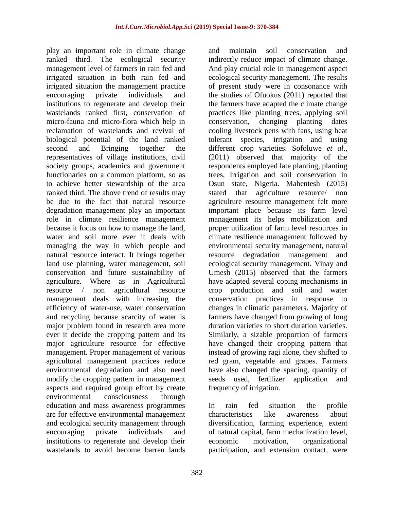play an important role in climate change ranked third. The ecological security management level of farmers in rain fed and irrigated situation in both rain fed and irrigated situation the management practice encouraging private individuals and institutions to regenerate and develop their wastelands ranked first, conservation of micro-fauna and micro-flora which help in reclamation of wastelands and revival of biological potential of the land ranked second and Bringing together the representatives of village institutions, civil society groups, academics and government functionaries on a common platform, so as to achieve better stewardship of the area ranked third. The above trend of results may be due to the fact that natural resource degradation management play an important role in climate resilience management because it focus on how to manage the land, water and soil more ever it deals with managing the way in which people and natural resource interact. It brings together land use planning, water management, soil conservation and future sustainability of agriculture. Where as in Agricultural resource / non agricultural resource management deals with increasing the efficiency of water-use, water conservation and recycling because scarcity of water is major problem found in research area more ever it decide the cropping pattern and its major agriculture resource for effective management. Proper management of various agricultural management practices reduce environmental degradation and also need modify the cropping pattern in management aspects and required group effort by create environmental consciousness through education and mass awareness programmes are for effective environmental management and ecological security management through encouraging private individuals and institutions to regenerate and develop their wastelands to avoid become barren lands

and maintain soil conservation and indirectly reduce impact of climate change. And play crucial role in management aspect ecological security management. The results of present study were in consonance with the studies of Ofuokus (2011) reported that the farmers have adapted the climate change practices like planting trees, applying soil conservation, changing planting dates cooling livestock pens with fans, using heat tolerant species, irrigation and using different crop varieties. Sofoluwe *et al*., (2011) observed that majority of the respondents employed late planting, planting trees, irrigation and soil conservation in Osun state, Nigeria. Mahentesh (2015) stated that agriculture resource/ non agriculture resource management felt more important place because its farm level management its helps mobilization and proper utilization of farm level resources in climate resilience management followed by environmental security management, natural resource degradation management and ecological security management. Vinay and Umesh (2015) observed that the farmers have adapted several coping mechanisms in crop production and soil and water conservation practices in response to changes in climatic parameters. Majority of farmers have changed from growing of long duration varieties to short duration varieties. Similarly, a sizable proportion of farmers have changed their cropping pattern that instead of growing ragi alone, they shifted to red gram, vegetable and grapes. Farmers have also changed the spacing, quantity of seeds used, fertilizer application and frequency of irrigation.

In rain fed situation the profile characteristics like awareness about diversification, farming experience, extent of natural capital, farm mechanization level, economic motivation, organizational participation, and extension contact, were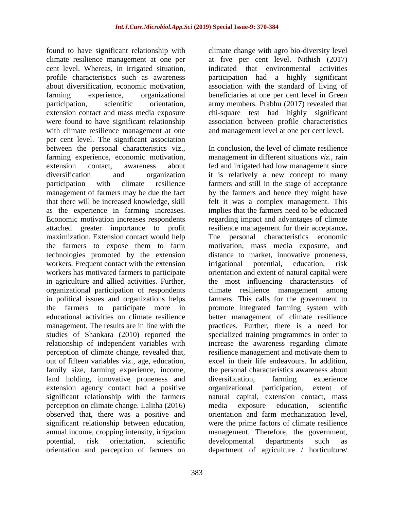found to have significant relationship with climate resilience management at one per cent level. Whereas, in irrigated situation, profile characteristics such as awareness about diversification, economic motivation, farming experience, organizational participation, scientific orientation, extension contact and mass media exposure were found to have significant relationship with climate resilience management at one per cent level. The significant association between the personal characteristics viz., farming experience, economic motivation, extension contact, awareness about diversification and organization participation with climate resilience management of farmers may be due the fact that there will be increased knowledge, skill as the experience in farming increases. Economic motivation increases respondents attached greater importance to profit maximization. Extension contact would help the farmers to expose them to farm technologies promoted by the extension workers. Frequent contact with the extension workers has motivated farmers to participate in agriculture and allied activities. Further, organizational participation of respondents in political issues and organizations helps the farmers to participate more in educational activities on climate resilience management. The results are in line with the studies of Shankara (2010) reported the relationship of independent variables with perception of climate change, revealed that, out of fifteen variables viz., age, education, family size, farming experience, income, land holding, innovative proneness and extension agency contact had a positive significant relationship with the farmers perception on climate change. Lalitha (2016) observed that, there was a positive and significant relationship between education, annual income, cropping intensity, irrigation potential, risk orientation, scientific orientation and perception of farmers on

climate change with agro bio-diversity level at five per cent level. Nithish (2017) indicated that environmental activities participation had a highly significant association with the standard of living of beneficiaries at one per cent level in Green army members. Prabhu (2017) revealed that chi-square test had highly significant association between profile characteristics and management level at one per cent level.

In conclusion, the level of climate resilience management in different situations *viz.,* rain fed and irrigated had low management since it is relatively a new concept to many farmers and still in the stage of acceptance by the farmers and hence they might have felt it was a complex management. This implies that the farmers need to be educated regarding impact and advantages of climate resilience management for their acceptance**.**  The personal characteristics economic motivation, mass media exposure, and distance to market, innovative proneness, irrigational potential, education, risk orientation and extent of natural capital were the most influencing characteristics of climate resilience management among farmers. This calls for the government to promote integrated farming system with better management of climate resilience practices. Further, there is a need for specialized training programmes in order to increase the awareness regarding climate resilience management and motivate them to excel in their life endeavours. In addition, the personal characteristics awareness about diversification, farming experience organizational participation, extent of natural capital, extension contact, mass media exposure education, scientific orientation and farm mechanization level, were the prime factors of climate resilience management. Therefore, the government, developmental departments such as department of agriculture / horticulture/